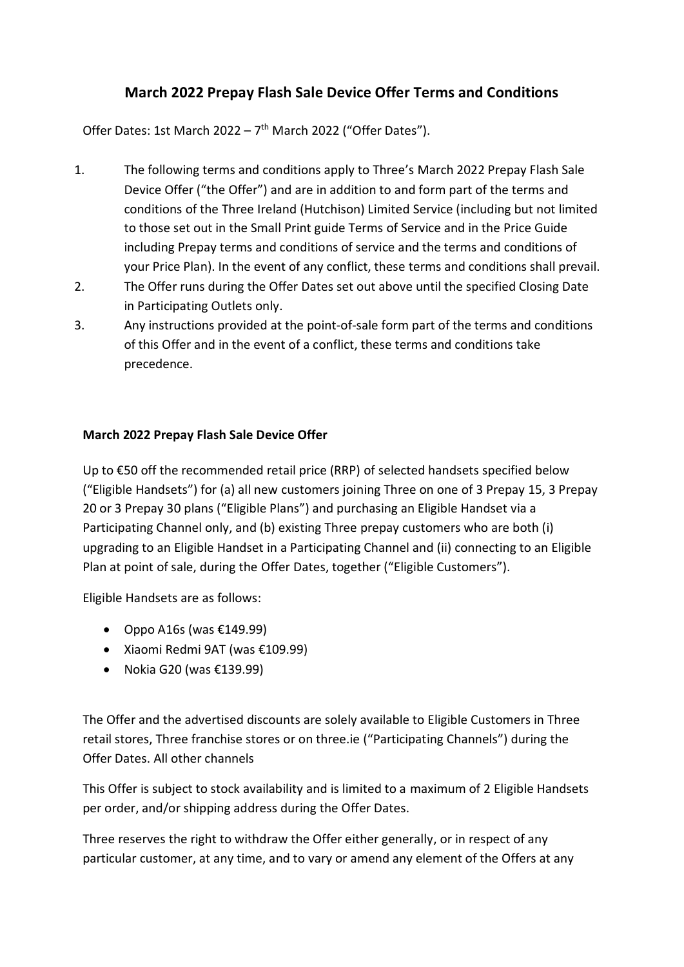## **March 2022 Prepay Flash Sale Device Offer Terms and Conditions**

Offer Dates: 1st March 2022 - 7<sup>th</sup> March 2022 ("Offer Dates").

- 1. The following terms and conditions apply to Three's March 2022 Prepay Flash Sale Device Offer ("the Offer") and are in addition to and form part of the terms and conditions of the Three Ireland (Hutchison) Limited Service (including but not limited to those set out in the Small Print guide Terms of Service and in the Price Guide including Prepay terms and conditions of service and the terms and conditions of your Price Plan). In the event of any conflict, these terms and conditions shall prevail.
- 2. The Offer runs during the Offer Dates set out above until the specified Closing Date in Participating Outlets only.
- 3. Any instructions provided at the point-of-sale form part of the terms and conditions of this Offer and in the event of a conflict, these terms and conditions take precedence.

## **March 2022 Prepay Flash Sale Device Offer**

Up to €50 off the recommended retail price (RRP) of selected handsets specified below ("Eligible Handsets") for (a) all new customers joining Three on one of 3 Prepay 15, 3 Prepay 20 or 3 Prepay 30 plans ("Eligible Plans") and purchasing an Eligible Handset via a Participating Channel only, and (b) existing Three prepay customers who are both (i) upgrading to an Eligible Handset in a Participating Channel and (ii) connecting to an Eligible Plan at point of sale, during the Offer Dates, together ("Eligible Customers").

Eligible Handsets are as follows:

- Oppo A16s (was  $£149.99$ )
- Xiaomi Redmi 9AT (was €109.99)
- Nokia G20 (was  $£139.99$ )

The Offer and the advertised discounts are solely available to Eligible Customers in Three retail stores, Three franchise stores or on three.ie ("Participating Channels") during the Offer Dates. All other channels

This Offer is subject to stock availability and is limited to a maximum of 2 Eligible Handsets per order, and/or shipping address during the Offer Dates.

Three reserves the right to withdraw the Offer either generally, or in respect of any particular customer, at any time, and to vary or amend any element of the Offers at any